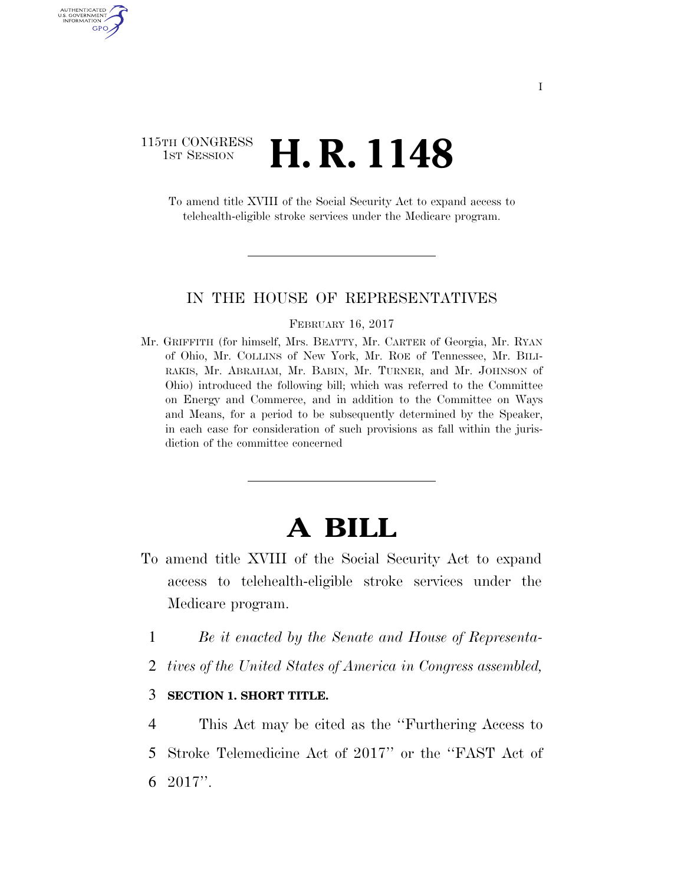# 115TH CONGRESS **1st Session H. R. 1148**

AUTHENTICATED U.S. GOVERNMENT GPO

> To amend title XVIII of the Social Security Act to expand access to telehealth-eligible stroke services under the Medicare program.

### IN THE HOUSE OF REPRESENTATIVES

#### FEBRUARY 16, 2017

Mr. GRIFFITH (for himself, Mrs. BEATTY, Mr. CARTER of Georgia, Mr. RYAN of Ohio, Mr. COLLINS of New York, Mr. ROE of Tennessee, Mr. BILI-RAKIS, Mr. ABRAHAM, Mr. BABIN, Mr. TURNER, and Mr. JOHNSON of Ohio) introduced the following bill; which was referred to the Committee on Energy and Commerce, and in addition to the Committee on Ways and Means, for a period to be subsequently determined by the Speaker, in each case for consideration of such provisions as fall within the jurisdiction of the committee concerned

# **A BILL**

- To amend title XVIII of the Social Security Act to expand access to telehealth-eligible stroke services under the Medicare program.
	- 1 *Be it enacted by the Senate and House of Representa-*
	- 2 *tives of the United States of America in Congress assembled,*

## 3 **SECTION 1. SHORT TITLE.**

4 This Act may be cited as the ''Furthering Access to 5 Stroke Telemedicine Act of 2017'' or the ''FAST Act of 6 2017''.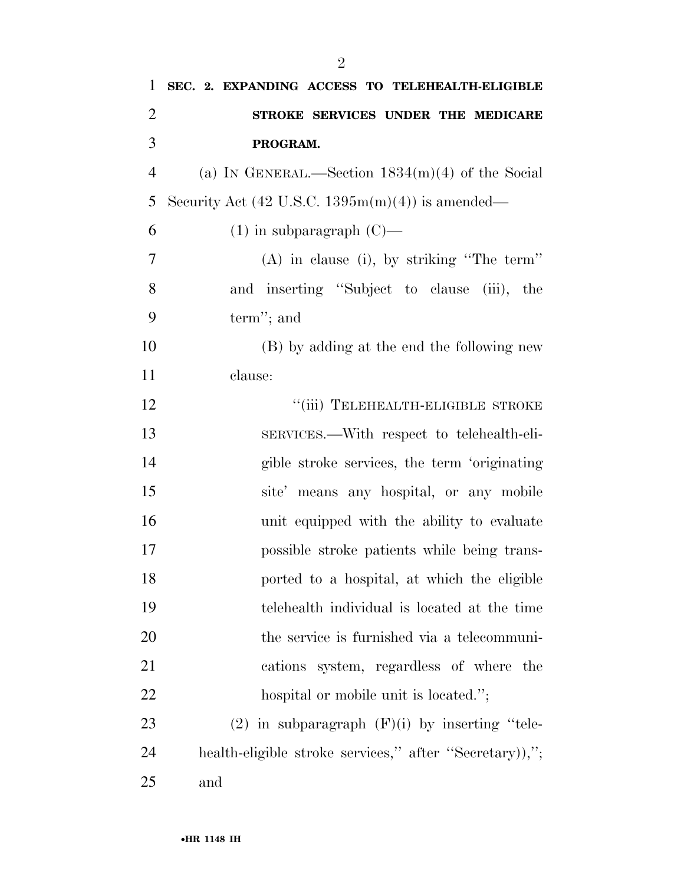| $\mathbf{1}$   | SEC. 2. EXPANDING ACCESS TO TELEHEALTH-ELIGIBLE                     |
|----------------|---------------------------------------------------------------------|
| $\overline{2}$ | STROKE SERVICES UNDER THE MEDICARE                                  |
| 3              | PROGRAM.                                                            |
| $\overline{4}$ | (a) IN GENERAL.—Section $1834(m)(4)$ of the Social                  |
| 5              | Security Act $(42 \text{ U.S.C. } 1395 \text{m(m)}(4))$ is amended— |
| 6              | $(1)$ in subparagraph $(C)$ —                                       |
| 7              | $(A)$ in clause (i), by striking "The term"                         |
| 8              | and inserting "Subject to clause (iii), the                         |
| 9              | term"; and                                                          |
| 10             | (B) by adding at the end the following new                          |
| 11             | clause:                                                             |
| 12             | "(iii) TELEHEALTH-ELIGIBLE STROKE                                   |
| 13             | SERVICES.—With respect to telehealth-eli-                           |
| 14             | gible stroke services, the term 'originating                        |
| 15             | site' means any hospital, or any mobile                             |
| 16             | unit equipped with the ability to evaluate                          |
| 17             | possible stroke patients while being trans-                         |
| 18             | ported to a hospital, at which the eligible                         |
| 19             | telehealth individual is located at the time                        |
| 20             | the service is furnished via a telecommuni-                         |
| 21             | cations system, regardless of where the                             |
| <u>22</u>      | hospital or mobile unit is located.";                               |
| 23             | $(2)$ in subparagraph $(F)(i)$ by inserting "tele-                  |
| 24             | health-eligible stroke services," after "Secretary)),";             |
| 25             | and                                                                 |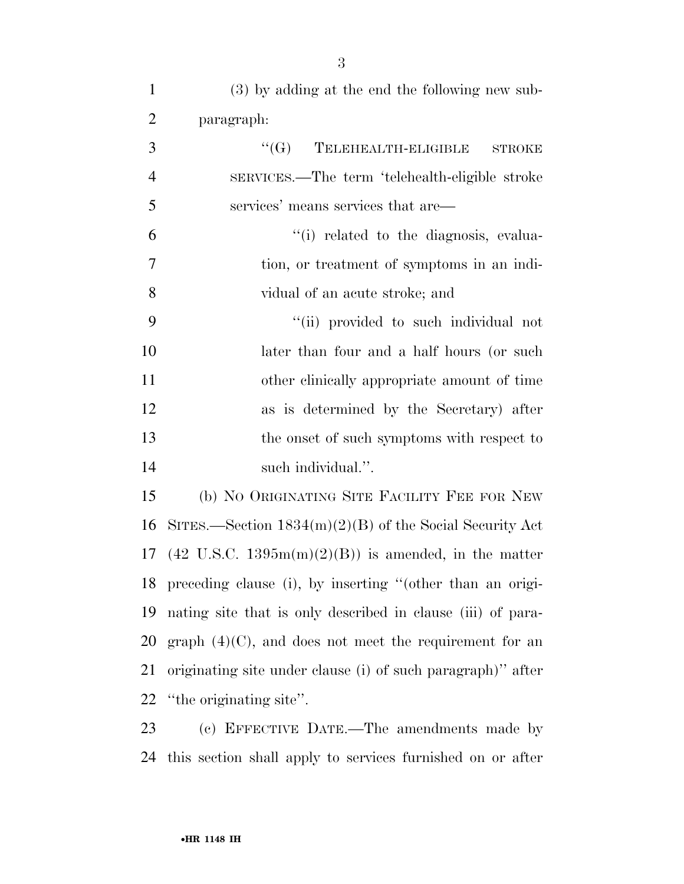| $\mathbf{1}$   | (3) by adding at the end the following new sub-              |
|----------------|--------------------------------------------------------------|
| $\overline{2}$ | paragraph:                                                   |
| 3              | ``(G)<br>TELEHEALTH-ELIGIBLE<br><b>STROKE</b>                |
| $\overline{4}$ | SERVICES.—The term 'telehealth-eligible stroke               |
| 5              | services' means services that are—                           |
| 6              | "(i) related to the diagnosis, evalua-                       |
| $\overline{7}$ | tion, or treatment of symptoms in an indi-                   |
| 8              | vidual of an acute stroke; and                               |
| 9              | "(ii) provided to such individual not                        |
| 10             | later than four and a half hours (or such                    |
| 11             | other clinically appropriate amount of time                  |
| 12             | as is determined by the Secretary) after                     |
| 13             | the onset of such symptoms with respect to                   |
| 14             | such individual.".                                           |
| 15             | (b) NO ORIGINATING SITE FACILITY FEE FOR NEW                 |
| 16             | SITES.—Section $1834(m)(2)(B)$ of the Social Security Act    |
|                | 17 (42 U.S.C. 1395m(m)(2)(B)) is amended, in the matter      |
|                | 18 preceding clause (i), by inserting "(other than an origi- |
| 19             | nating site that is only described in clause (iii) of para-  |
| 20             | graph $(4)(C)$ , and does not meet the requirement for an    |
| 21             | originating site under clause (i) of such paragraph)" after  |
|                | 22 "the originating site".                                   |
|                |                                                              |

 (c) EFFECTIVE DATE.—The amendments made by this section shall apply to services furnished on or after